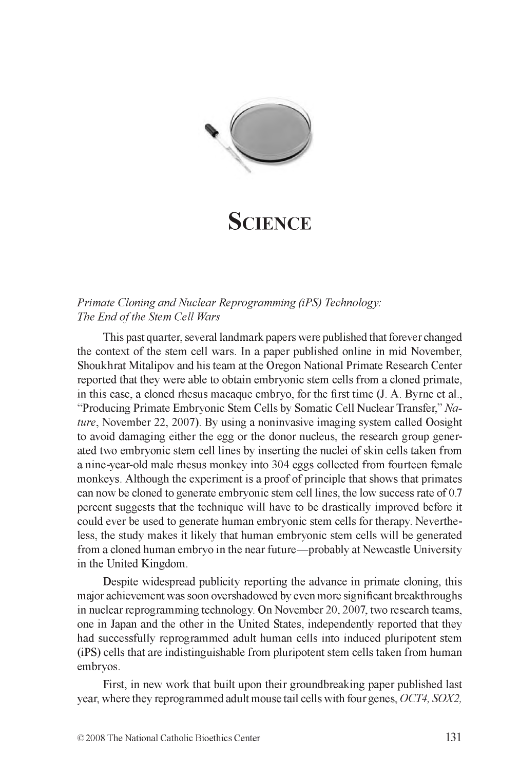

# **Science**

#### *Primate Cloning and Nuclear Reprogramming (iPS) Technology:* **The End of the Stem Cell Wars**

This past quarter, several landmark papers were published that forever changed the context of the stem cell wars. In a paper published online in mid November, Shoukhrat Mitalipov and his team at the Oregon National Primate Research Center reported that they were able to obtain embryonic stem cells from a cloned primate, in this case, a cloned rhesus macaque embryo, for the first time (J. A. Byrne et al., "Producing Primate Embryonic Stem Cells by Somatic Cell Nuclear Transfer," *Nature,* November 22, 2007). By using a noninvasive imaging system called Oosight to avoid damaging either the egg or the donor nucleus, the research group generated two embryonic stem cell lines by inserting the nuclei of skin cells taken from a nine-year-old male rhesus monkey into 304 eggs collected from fourteen female monkeys. Although the experiment is a proof of principle that shows that primates can now be cloned to generate embryonic stem cell lines, the low success rate of 0.7 percent suggests that the technique will have to be drastically improved before it could ever be used to generate human embryonic stem cells for therapy. Nevertheless, the study makes it likely that human embryonic stem cells will be generated from a cloned human embryo in the near future—probably at Newcastle University in the United Kingdom.

Despite widespread publicity reporting the advance in primate cloning, this major achievement was soon overshadowed by even more significant breakthroughs in nuclear reprogramming technology. On November 20, 2007, two research teams, one in Japan and the other in the United States, independently reported that they had successfully reprogrammed adult human cells into induced pluripotent stem (iPS) cells that are indistinguishable from pluripotent stem cells taken from human embryos.

First, in new work that built upon their groundbreaking paper published last year, where they reprogrammed adult mouse tail cells with four genes, *OCT4, SOX2,*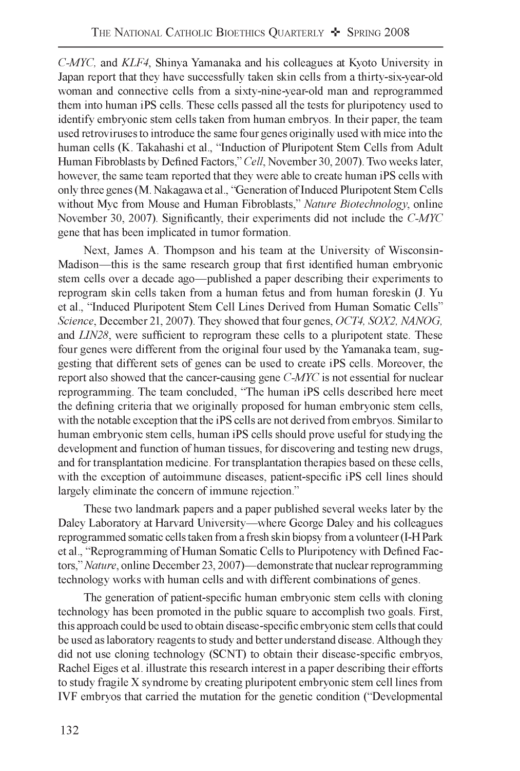*C-MYC,* and *KLF4,* Shinya Yamanaka and his colleagues at Kyoto University in Japan report that they have successfully taken skin cells from a thirty-six-year-old woman and connective cells from a sixty-nine-year-old man and reprogrammed them into human iPS cells. These cells passed all the tests for pluripotency used to identify embryonic stem cells taken from human embryos. In their paper, the team used retroviruses to introduce the same four genes originally used with mice into the human cells (K. Takahashi et al., "Induction of Pluripotent Stem Cells from Adult Human Fibroblasts by Defined Factors," *Cell,* November 30, 2007). Two weeks later, however, the same team reported that they were able to create human iPS cells with only three genes (M. Nakagawa et al., "Generation of Induced Pluripotent Stem Cells without Myc from Mouse and Human Fibroblasts," *Nature Biotechnology,* online November 30, 2007). Significantly, their experiments did not include the *C-MYC* gene that has been implicated in tumor formation.

Next, James A. Thompson and his team at the University of Wisconsin-Madison—this is the same research group that first identified human embryonic stem cells over a decade ago—published a paper describing their experiments to reprogram skin cells taken from a human fetus and from human foreskin (J. Yu et al., "Induced Pluripotent Stem Cell Lines Derived from Human Somatic Cells" *Science,* December 21, 2007). They showed that four genes, *OCT4, SOX2, NANOG,* and *LIN28,* were sufficient to reprogram these cells to a pluripotent state. These four genes were different from the original four used by the Yamanaka team, suggesting that different sets of genes can be used to create iPS cells. Moreover, the report also showed that the cancer-causing gene *C-MYC* is not essential for nuclear reprogramming. The team concluded, "The human iPS cells described here meet the defining criteria that we originally proposed for human embryonic stem cells, with the notable exception that the iPS cells are not derived from embryos. Similar to human embryonic stem cells, human iPS cells should prove useful for studying the development and function of human tissues, for discovering and testing new drugs, and for transplantation medicine. For transplantation therapies based on these cells, with the exception of autoimmune diseases, patient-specific iPS cell lines should largely eliminate the concern of immune rejection."

These two landmark papers and a paper published several weeks later by the Daley Laboratory at Harvard University—where George Daley and his colleagues reprogrammed somatic cells taken from a fresh skin biopsy from a volunteer (I-H Park et al., "Reprogramming of Human Somatic Cells to Pluripotency with Defined Factors," *Nature,* online December 23, 2007)—demonstrate that nuclear reprogramming technology works with human cells and with different combinations of genes.

The generation of patient-specific human embryonic stem cells with cloning technology has been promoted in the public square to accomplish two goals. First, this approach could be used to obtain disease-specific embryonic stem cells that could be used as laboratory reagents to study and better understand disease. Although they did not use cloning technology (SCNT) to obtain their disease-specific embryos, Rachel Eiges et al. illustrate this research interest in a paper describing their efforts to study fragile X syndrome by creating pluripotent embryonic stem cell lines from IVF embryos that carried the mutation for the genetic condition ("Developmental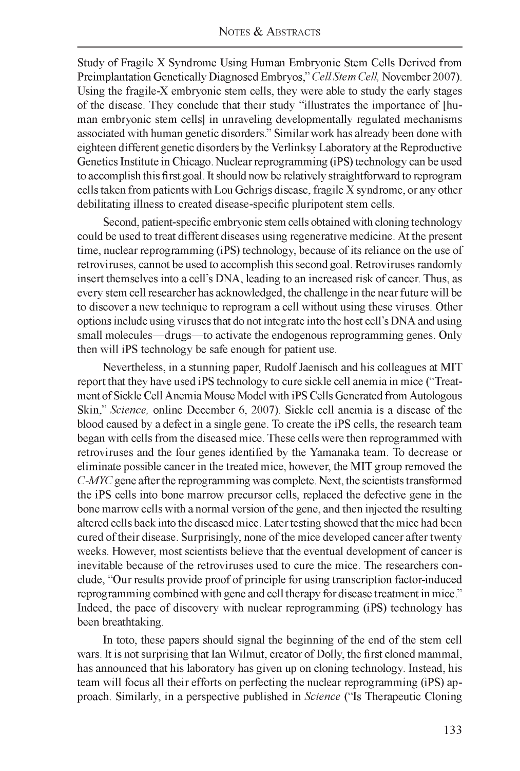Study of Fragile X Syndrome Using Human Embryonic Stem Cells Derived from Preimplantation Genetically Diagnosed Embryos," *Cell Stem Cell,* November 2007). Using the fragile-X embryonic stem cells, they were able to study the early stages of the disease. They conclude that their study "illustrates the importance of [human embryonic stem cells] in unraveling developmentally regulated mechanisms associated with human genetic disorders." Similar work has already been done with eighteen different genetic disorders by the Verlinksy Laboratory at the Reproductive Genetics Institute in Chicago. Nuclear reprogramming (iPS) technology can be used to accomplish this first goal. It should now be relatively straightforward to reprogram cells taken from patients with Lou Gehrigs disease, fragile X syndrome, or any other debilitating illness to created disease-specific pluripotent stem cells.

Second, patient-specific embryonic stem cells obtained with cloning technology could be used to treat different diseases using regenerative medicine. At the present time, nuclear reprogramming (iPS) technology, because of its reliance on the use of retroviruses, cannot be used to accomplish this second goal. Retroviruses randomly insert themselves into a cell's DNA, leading to an increased risk of cancer. Thus, as every stem cell researcher has acknowledged, the challenge in the near future will be to discover a new technique to reprogram a cell without using these viruses. Other options include using viruses that do not integrate into the host cell's DNA and using small molecules—drugs—to activate the endogenous reprogramming genes. Only then will iPS technology be safe enough for patient use.

Nevertheless, in a stunning paper, Rudolf Jaenisch and his colleagues at MIT report that they have used iPS technology to cure sickle cell anemia in mice ("Treatment of Sickle Cell Anemia Mouse Model with iPS Cells Generated from Autologous Skin," *Science,* online December 6, 2007). Sickle cell anemia is a disease of the blood caused by a defect in a single gene. To create the iPS cells, the research team began with cells from the diseased mice. These cells were then reprogrammed with retroviruses and the four genes identified by the Yamanaka team. To decrease or eliminate possible cancer in the treated mice, however, the MIT group removed the *C-MYC* gene after the reprogramming was complete. Next, the scientists transformed the iPS cells into bone marrow precursor cells, replaced the defective gene in the bone marrow cells with a normal version of the gene, and then injected the resulting altered cells back into the diseased mice. Later testing showed that the mice had been cured of their disease. Surprisingly, none of the mice developed cancer after twenty weeks. However, most scientists believe that the eventual development of cancer is inevitable because of the retroviruses used to cure the mice. The researchers conclude, "Our results provide proof of principle for using transcription factor-induced reprogramming combined with gene and cell therapy for disease treatment in mice." Indeed, the pace of discovery with nuclear reprogramming (iPS) technology has been breathtaking.

In toto, these papers should signal the beginning of the end of the stem cell wars. It is not surprising that Ian Wilmut, creator of Dolly, the first cloned mammal, has announced that his laboratory has given up on cloning technology. Instead, his team will focus all their efforts on perfecting the nuclear reprogramming (iPS) approach. Similarly, in a perspective published in *Science* ("Is Therapeutic Cloning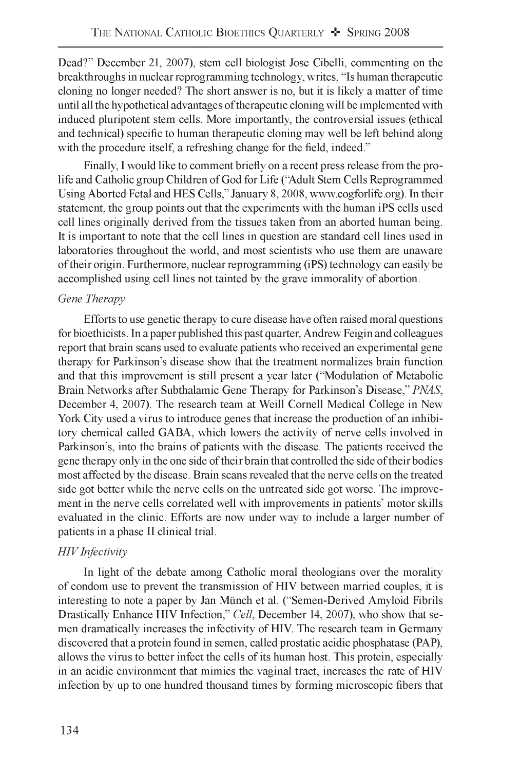Dead?" December 21, 2007), stem cell biologist Jose Cibelli, commenting on the breakthroughs in nuclear reprogramming technology, writes, "Is human therapeutic cloning no longer needed? The short answer is no, but it is likely a matter of time until all the hypothetical advantages of therapeutic cloning will be implemented with induced pluripotent stem cells. More importantly, the controversial issues (ethical and technical) specific to human therapeutic cloning may well be left behind along with the procedure itself, a refreshing change for the field, indeed."

Finally, I would like to comment briefly on a recent press release from the prolife and Catholic group Children of God for Life ("Adult Stem Cells Reprogrammed Using Aborted Fetal and HES Cells," January 8, 2008, [www.cogforlife.org](http://www.cogforlife.org)). In their statement, the group points out that the experiments with the human iPS cells used cell lines originally derived from the tissues taken from an aborted human being. It is important to note that the cell lines in question are standard cell lines used in laboratories throughout the world, and most scientists who use them are unaware of their origin. Furthermore, nuclear reprogramming (iPS) technology can easily be accomplished using cell lines not tainted by the grave immorality of abortion.

## *Gene Therapy*

Efforts to use genetic therapy to cure disease have often raised moral questions for bioethicists. In a paper published this past quarter, Andrew Feigin and colleagues report that brain scans used to evaluate patients who received an experimental gene therapy for Parkinson's disease show that the treatment normalizes brain function and that this improvement is still present a year later ("Modulation of Metabolic Brain Networks after Subthalamic Gene Therapy for Parkinson's Disease," *PNAS,* December 4, 2007). The research team at Weill Cornell Medical College in New York City used a virus to introduce genes that increase the production of an inhibitory chemical called GABA, which lowers the activity of nerve cells involved in Parkinson's, into the brains of patients with the disease. The patients received the gene therapy only in the one side of their brain that controlled the side of their bodies most affected by the disease. Brain scans revealed that the nerve cells on the treated side got better while the nerve cells on the untreated side got worse. The improvement in the nerve cells correlated well with improvements in patients' motor skills evaluated in the clinic. Efforts are now under way to include a larger number of patients in a phase II clinical trial.

## *HIV Infectivity*

In light of the debate among Catholic moral theologians over the morality of condom use to prevent the transmission of HIV between married couples, it is interesting to note a paper by Jan Munch et al. ("Semen-Derived Amyloid Fibrils Drastically Enhance HIV Infection," *Cell,* December 14, 2007), who show that semen dramatically increases the infectivity of HIV. The research team in Germany discovered that a protein found in semen, called prostatic acidic phosphatase (PAP), allows the virus to better infect the cells of its human host. This protein, especially in an acidic environment that mimics the vaginal tract, increases the rate of HIV infection by up to one hundred thousand times by forming microscopic fibers that